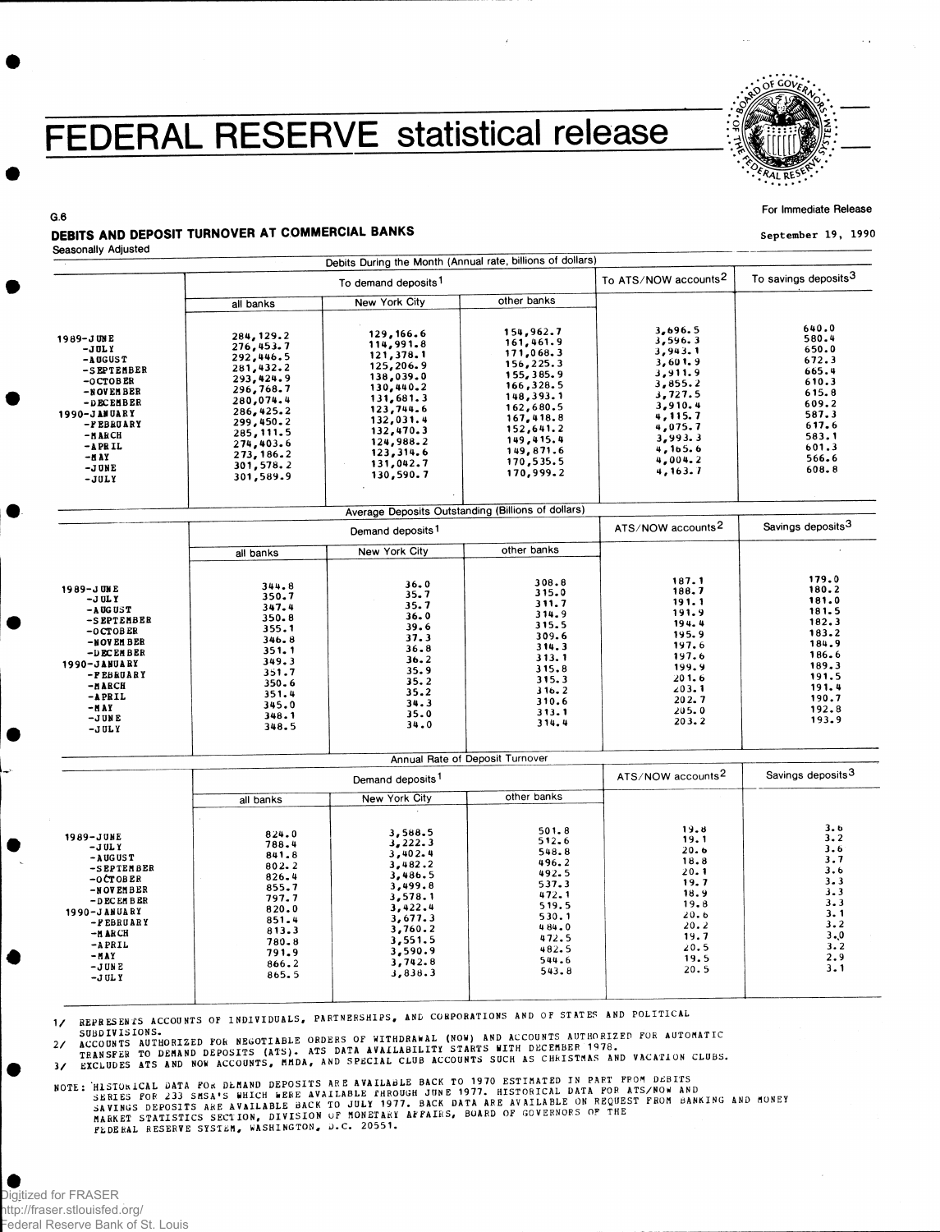## FEDERAL RESERVE statistical release



For Immediate Release

September 19, 1990

## **G.6**  DEBITS AND DEPOSIT TURNOVER AT COMMERCIAL BANKS

|                      |                | Debits During the Month (Annual rate, billions of dollars)<br>To ATS/NOW accounts <sup>2</sup> | To savings deposits <sup>3</sup> |                               |       |
|----------------------|----------------|------------------------------------------------------------------------------------------------|----------------------------------|-------------------------------|-------|
|                      |                |                                                                                                |                                  |                               |       |
|                      | all banks      | <b>New York City</b>                                                                           | other banks                      |                               |       |
|                      |                | 129,166.6                                                                                      | 154,962.7                        | 3,696.5                       | 640.0 |
| 1989-JUNE            | 284, 129.2     | 114,991.8                                                                                      | 161,461.9                        | 3,596.3                       | 580.4 |
| $-JULY$              | 276,453.7      | 121,378.1                                                                                      | 171,068.3                        | 3,943.1                       | 650.0 |
| $-$ A OGUS T         | 292,446.5      | 125,206.9                                                                                      | 156,225.3                        | 3,601.9                       | 672.3 |
| -SEPTEMBER           | 281,432.2      |                                                                                                | 155, 385.9                       | 3,911.9                       | 665.4 |
| $-0$ CTOBER          | 293,424.9      | 138,039.0                                                                                      | 166,328.5                        | 3,855.2                       | 610.3 |
| -NOVEMBER            | 296,768.7      | 130,440.2                                                                                      | 148,393.1                        | 3,727.5                       | 615.8 |
| -DECEMBER            | 280,074.4      | 131,681.3                                                                                      | 162,680.5                        | 3,910.4                       | 609.2 |
| 1990-JANUARY         | 286,425.2      | 123, 744.6                                                                                     | 167,418.8                        | 4, 115. 7                     | 587.3 |
| -FEBRUARY            | 299,450.2      | 132,031.4                                                                                      | 152,641.2                        | 4,075.7                       | 617.6 |
| -NARCH               | 285, 111.5     | 132,470.3                                                                                      | 149,415.4                        | 3,993.3                       | 583.1 |
| $-$ A PR IL          | 274,403.6      | 124,988.2                                                                                      |                                  | 4,165.6                       | 601.3 |
| $-a$ ay              | 273, 186.2     | 123,314.6                                                                                      | 149,871.6                        | 4,004.2                       | 566.6 |
| -JUNE                | 301,578.2      | 131,042.7                                                                                      | 170,535.5                        | 4, 163.7                      | 608.8 |
| $-JULY$              | 301,589.9      | 130,590.7                                                                                      | 170,999.2                        |                               |       |
|                      |                | Average Deposits Outstanding (Billions of dollars)                                             |                                  |                               |       |
|                      |                | Demand deposits <sup>1</sup>                                                                   | ATS/NOW accounts <sup>2</sup>    | Savings deposits <sup>3</sup> |       |
|                      | all banks      | New York City                                                                                  | other banks                      |                               |       |
|                      |                |                                                                                                |                                  |                               |       |
|                      |                | 36.0                                                                                           | 308.8                            | 187.1                         | 179.0 |
| 1989-JUNE            | 344.8<br>350.7 | 35.7                                                                                           | 315.0                            | 188.7                         | 180.2 |
| $-J$ UL Y            | 347.4          | 35.7                                                                                           | 311.7                            | 191.1                         | 181.0 |
| -AUGUST              | 350.8          | 36.0                                                                                           | 314.9                            | 191.9                         | 181.5 |
| -SEPTEMBER           | 355.1          | 39.6                                                                                           | 315.5                            | 194.4                         | 182.3 |
| $-0$ CTOBER          | 346.8          | 37.3                                                                                           | 309.6                            | 195.9                         | 183.2 |
| -NOVEMBER            |                | 36.8                                                                                           | 314.3                            | 197.6                         | 184.9 |
| -DECEMBER            | 351.1<br>349.3 | 36.2                                                                                           | 313.1                            | 197.6                         | 186.6 |
| 1990-JANUARY         |                | 35.9                                                                                           | 315.8                            | 199.9                         | 189.3 |
| -PEBRUARY            | 351.7<br>350.6 | 35.2                                                                                           | 315.3                            | 201.6                         | 191.5 |
| -и авси              |                | 35.2                                                                                           | 316.2                            | 203.1                         | 191.4 |
| -APRIL               | 351.4<br>345.0 | 34.3                                                                                           | 310.6                            | 202.7                         | 190.7 |
| -HAY                 | 348.1          | 35.0                                                                                           | 313.1                            | 205.0                         | 192.8 |
| $-JUNE$<br>$-JULY$   | 348.5          | 34.0                                                                                           | 314.4                            | 203.2                         | 193.9 |
|                      |                |                                                                                                | Annual Rate of Deposit Turnover  |                               |       |
|                      |                | Demand deposits <sup>1</sup>                                                                   | ATS/NOW accounts <sup>2</sup>    | Savings deposits <sup>3</sup> |       |
|                      | all banks      | New York City                                                                                  | other banks                      |                               |       |
|                      |                |                                                                                                |                                  |                               |       |
|                      | 824.0          | 3,588.5                                                                                        | 501.8                            | 19.8                          | 3.6   |
| 1989-JUNE<br>$-JULY$ | 788.4          | 3,222.3                                                                                        | 512.6                            | 19.1                          | 3.2   |
| $-$ AUGUST           | 841.8          | 3,402.4                                                                                        | 548.8                            | 20.6                          | 3.6   |
| -SEPTEMBER           | 802.2          | 3,482.2                                                                                        | 496.2                            | 18.8                          | 3.7   |
| $-0CTOBER$           | 826.4          | 3,486.5                                                                                        | 492.5                            | 20.1                          | 3.6   |
| <b>NOT PHOTP</b>     | 855.7          | 3,499.8                                                                                        | 537.3                            | 19.7                          | 3.3   |

-NOVEMBER -DECEMBER 1990-JANUAR Y -FEBRUAR Y -MARCH -APRIL -MAY<br>-JUN E - J ULY 855. 7 3,499. 8 797 . 7 3,578 . 1 820. 0 3,422. 4 851. 4 3,677. 3 813. 3 3,760. 2 780. 8 3,551. 5 791. 9 3,590. 9 866. 2 3,742. 8  $865.5$   $3,838.3$ 537. 3 472 . 1 519 . 5 530 . 1 4 8 4 . 0 472. 5 482. 5 544. 6 543. 8 18.9  $19.8$ **2 0 . b 20. 2** 19.7 2 0 . 5 1 9 . 5 20.5 3 . 3 3.3<br>3.1 3 . 2 3.. 0 3 . 2 2 . 9 3 . 1

1/ REPRESENTS ACCOUNTS OF INDIVIDUALS, PARTNERSHIPS, AND CORPORATIONS AND OF STATES AND POLITICAL

*zWEDIVISIONS.*<br>2/ ACCOUNTS AUTHORIZED FOR NEGOTIABLE ORDERS OF WITHDRAWAL (NOW) AND ACCOUNTS AUTHORIZED FOR AUTOMATIC<br>2/ ERANSFER TO DEMAND DEPOSITS (ATS). ATS DATA AVAILABILITY STARTS WITH DECEMBER 1978.<br>3/ EXCLUDES AT

SERIES FOR 233 SMSA'S WHICH WERE AVAILABLE FHROUGH JUME 1977. HISTORICAL DATA TON RISPORT FROM BANKING AND MO<br>SAVINGS DEPOSITS ARE AVAILABLE BACK TO JULY 1977. BACK DATA ARE AVAILABLE ON REQUEST FROM BANKING AND MO<br>MARKET